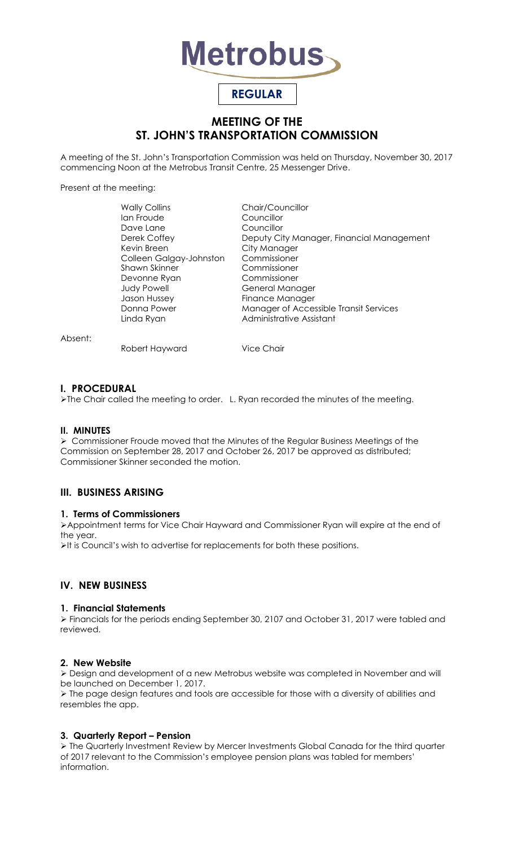

# **REGULAR**

# **MEETING OF THE ST. JOHN'S TRANSPORTATION COMMISSION**

A meeting of the St. John's Transportation Commission was held on Thursday, November 30, 2017 commencing Noon at the Metrobus Transit Centre, 25 Messenger Drive.

Present at the meeting:

| <b>Wally Collins</b>    | Chair/Councillor                          |
|-------------------------|-------------------------------------------|
| lan Froude              | Councillor                                |
| Dave Lane               | Councillor                                |
| Derek Coffey            | Deputy City Manager, Financial Management |
| Kevin Breen             | City Manager                              |
| Colleen Galgay-Johnston | Commissioner                              |
| Shawn Skinner           | Commissioner                              |
| Devonne Ryan            | Commissioner                              |
| <b>Judy Powell</b>      | General Manager                           |
| Jason Hussey            | Finance Manager                           |
| Donna Power             | Manager of Accessible Transit Services    |
| Linda Ryan              | Administrative Assistant                  |
|                         |                                           |

Absent:

Robert Hayward Vice Chair

# **I. PROCEDURAL**

The Chair called the meeting to order. L. Ryan recorded the minutes of the meeting.

# **II. MINUTES**

 Commissioner Froude moved that the Minutes of the Regular Business Meetings of the Commission on September 28, 2017 and October 26, 2017 be approved as distributed; Commissioner Skinner seconded the motion.

# **III. BUSINESS ARISING**

# **1. Terms of Commissioners**

Appointment terms for Vice Chair Hayward and Commissioner Ryan will expire at the end of the year.

It is Council's wish to advertise for replacements for both these positions.

# **IV. NEW BUSINESS**

# **1. Financial Statements**

 Financials for the periods ending September 30, 2107 and October 31, 2017 were tabled and reviewed.

#### **2. New Website**

 Design and development of a new Metrobus website was completed in November and will be launched on December 1, 2017.

 $\triangleright$  The page design features and tools are accessible for those with a diversity of abilities and resembles the app.

# **3. Quarterly Report – Pension**

 The Quarterly Investment Review by Mercer Investments Global Canada for the third quarter of 2017 relevant to the Commission's employee pension plans was tabled for members' information.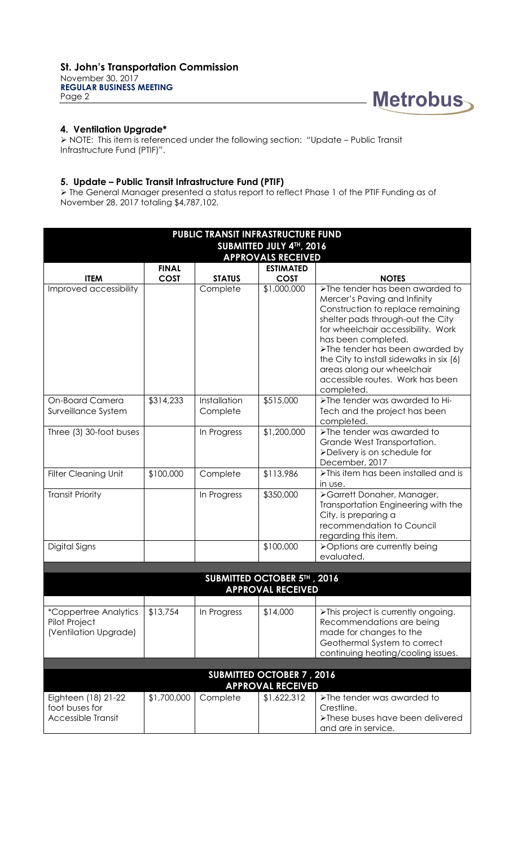**REGULAR BUSINESS MEETING** Page 2



# **4. Ventilation Upgrade\***

 NOTE: This item is referenced under the following section: "Update – Public Transit Infrastructure Fund (PTIF)".

# **5. Update – Public Transit Infrastructure Fund (PTIF)**

 The General Manager presented a status report to reflect Phase 1 of the PTIF Funding as of November 28, 2017 totaling \$4,787,102.

| PUBLIC TRANSIT INFRASTRUCTURE FUND                                     |                             |                          |                                 |                                                                                                                                                                                                                                                                                                                                                                       |  |  |  |  |
|------------------------------------------------------------------------|-----------------------------|--------------------------|---------------------------------|-----------------------------------------------------------------------------------------------------------------------------------------------------------------------------------------------------------------------------------------------------------------------------------------------------------------------------------------------------------------------|--|--|--|--|
| SUBMITTED JULY 4TH, 2016                                               |                             |                          |                                 |                                                                                                                                                                                                                                                                                                                                                                       |  |  |  |  |
| <b>APPROVALS RECEIVED</b>                                              |                             |                          |                                 |                                                                                                                                                                                                                                                                                                                                                                       |  |  |  |  |
| <b>ITEM</b>                                                            | <b>FINAL</b><br><b>COST</b> | <b>STATUS</b>            | <b>ESTIMATED</b><br><b>COST</b> | <b>NOTES</b>                                                                                                                                                                                                                                                                                                                                                          |  |  |  |  |
| Improved accessibility                                                 |                             | Complete                 | \$1,000,000                     | >The tender has been awarded to<br>Mercer's Paving and Infinity<br>Construction to replace remaining<br>shelter pads through-out the City<br>for wheelchair accessibility. Work<br>has been completed.<br>>The tender has been awarded by<br>the City to install sidewalks in six (6)<br>areas along our wheelchair<br>accessible routes. Work has been<br>completed. |  |  |  |  |
| On-Board Camera<br>Surveillance System                                 | \$314,233                   | Installation<br>Complete | \$515,000                       | >The tender was awarded to Hi-<br>Tech and the project has been<br>completed.                                                                                                                                                                                                                                                                                         |  |  |  |  |
| Three (3) 30-foot buses                                                |                             | In Progress              | \$1,200,000                     | >The tender was awarded to<br>Grande West Transportation.<br>>Delivery is on schedule for<br>December, 2017                                                                                                                                                                                                                                                           |  |  |  |  |
| <b>Filter Cleaning Unit</b>                                            | \$100,000                   | Complete                 | \$113,986                       | >This item has been installed and is<br>in use.                                                                                                                                                                                                                                                                                                                       |  |  |  |  |
| <b>Transit Priority</b>                                                |                             | In Progress              | \$350,000                       | >Garrett Donaher, Manager,<br>Transportation Engineering with the<br>City, is preparing a<br>recommendation to Council<br>regarding this item.                                                                                                                                                                                                                        |  |  |  |  |
| Digital Signs                                                          |                             |                          | \$100,000                       | >Options are currently being<br>evaluated.                                                                                                                                                                                                                                                                                                                            |  |  |  |  |
|                                                                        |                             |                          |                                 |                                                                                                                                                                                                                                                                                                                                                                       |  |  |  |  |
| SUBMITTED OCTOBER 5TH, 2016<br><b>APPROVAL RECEIVED</b>                |                             |                          |                                 |                                                                                                                                                                                                                                                                                                                                                                       |  |  |  |  |
|                                                                        |                             |                          |                                 |                                                                                                                                                                                                                                                                                                                                                                       |  |  |  |  |
| <i>*Coppertree Analytics</i><br>Pilot Project<br>(Ventilation Upgrade) | \$13,754                    | In Progress              | \$14,000                        | >This project is currently ongoing.<br>Recommendations are being<br>made for changes to the<br>Geothermal System to correct<br>continuing heating/cooling issues.                                                                                                                                                                                                     |  |  |  |  |
|                                                                        |                             |                          |                                 |                                                                                                                                                                                                                                                                                                                                                                       |  |  |  |  |
| <b>SUBMITTED OCTOBER 7, 2016</b><br><b>APPROVAL RECEIVED</b>           |                             |                          |                                 |                                                                                                                                                                                                                                                                                                                                                                       |  |  |  |  |
| Eighteen (18) 21-22<br>foot buses for<br>Accessible Transit            | \$1,700,000                 | Complete                 | \$1,622,312                     | >The tender was awarded to<br>Crestline.<br>>These buses have been delivered<br>and are in service.                                                                                                                                                                                                                                                                   |  |  |  |  |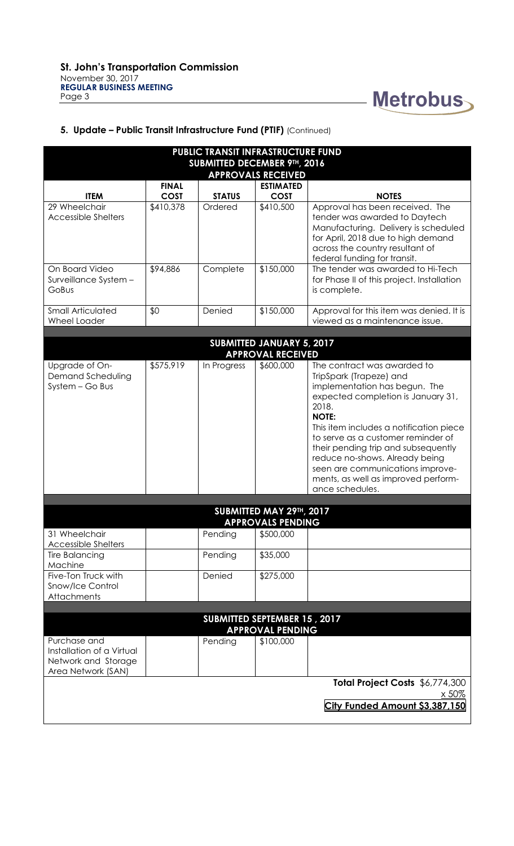

# **5. Update – Public Transit Infrastructure Fund (PTIF)** (Continued)

| <b>PUBLIC TRANSIT INFRASTRUCTURE FUND</b>                                              |              |               |                  |                                                                                                                                                                                                                                                                                                                                                                                                                |  |  |  |  |
|----------------------------------------------------------------------------------------|--------------|---------------|------------------|----------------------------------------------------------------------------------------------------------------------------------------------------------------------------------------------------------------------------------------------------------------------------------------------------------------------------------------------------------------------------------------------------------------|--|--|--|--|
| SUBMITTED DECEMBER 9TH, 2016<br><b>APPROVALS RECEIVED</b>                              |              |               |                  |                                                                                                                                                                                                                                                                                                                                                                                                                |  |  |  |  |
|                                                                                        | <b>FINAL</b> |               | <b>ESTIMATED</b> |                                                                                                                                                                                                                                                                                                                                                                                                                |  |  |  |  |
| <b>ITEM</b>                                                                            | <b>COST</b>  | <b>STATUS</b> | <b>COST</b>      | <b>NOTES</b>                                                                                                                                                                                                                                                                                                                                                                                                   |  |  |  |  |
| 29 Wheelchair<br><b>Accessible Shelters</b>                                            | \$410,378    | Ordered       | \$410,500        | Approval has been received. The<br>tender was awarded to Daytech<br>Manufacturing. Delivery is scheduled<br>for April, 2018 due to high demand<br>across the country resultant of<br>federal funding for transit.                                                                                                                                                                                              |  |  |  |  |
| On Board Video<br>Surveillance System -<br>GoBus                                       | \$94,886     | Complete      | \$150,000        | The tender was awarded to Hi-Tech<br>for Phase II of this project. Installation<br>is complete.                                                                                                                                                                                                                                                                                                                |  |  |  |  |
| <b>Small Articulated</b><br>Wheel Loader                                               | \$0          | Denied        | \$150,000        | Approval for this item was denied. It is<br>viewed as a maintenance issue.                                                                                                                                                                                                                                                                                                                                     |  |  |  |  |
|                                                                                        |              |               |                  |                                                                                                                                                                                                                                                                                                                                                                                                                |  |  |  |  |
| <b>SUBMITTED JANUARY 5, 2017</b><br><b>APPROVAL RECEIVED</b>                           |              |               |                  |                                                                                                                                                                                                                                                                                                                                                                                                                |  |  |  |  |
| Upgrade of On-<br><b>Demand Scheduling</b><br>System - Go Bus                          | \$575,919    | In Progress   | \$600,000        | The contract was awarded to<br>TripSpark (Trapeze) and<br>implementation has begun. The<br>expected completion is January 31,<br>2018.<br><b>NOTE:</b><br>This item includes a notification piece<br>to serve as a customer reminder of<br>their pending trip and subsequently<br>reduce no-shows. Already being<br>seen are communications improve-<br>ments, as well as improved perform-<br>ance schedules. |  |  |  |  |
|                                                                                        |              |               |                  |                                                                                                                                                                                                                                                                                                                                                                                                                |  |  |  |  |
| SUBMITTED MAY 29TH, 2017<br><b>APPROVALS PENDING</b>                                   |              |               |                  |                                                                                                                                                                                                                                                                                                                                                                                                                |  |  |  |  |
| 31 Wheelchair<br><b>Accessible Shelters</b>                                            |              | Pending       | \$500,000        |                                                                                                                                                                                                                                                                                                                                                                                                                |  |  |  |  |
| <b>Tire Balancing</b><br>Machine                                                       |              | Pending       | \$35,000         |                                                                                                                                                                                                                                                                                                                                                                                                                |  |  |  |  |
| Five-Ton Truck with<br>Snow/Ice Control<br>Attachments                                 |              | Denied        | \$275,000        |                                                                                                                                                                                                                                                                                                                                                                                                                |  |  |  |  |
|                                                                                        |              |               |                  |                                                                                                                                                                                                                                                                                                                                                                                                                |  |  |  |  |
| SUBMITTED SEPTEMBER 15, 2017<br><b>APPROVAL PENDING</b>                                |              |               |                  |                                                                                                                                                                                                                                                                                                                                                                                                                |  |  |  |  |
| Purchase and<br>Installation of a Virtual<br>Network and Storage<br>Area Network (SAN) |              | Pending       | \$100,000        |                                                                                                                                                                                                                                                                                                                                                                                                                |  |  |  |  |
| Total Project Costs \$6,774,300<br>x 50%                                               |              |               |                  |                                                                                                                                                                                                                                                                                                                                                                                                                |  |  |  |  |
|                                                                                        |              |               |                  | City Funded Amount \$3,387,150                                                                                                                                                                                                                                                                                                                                                                                 |  |  |  |  |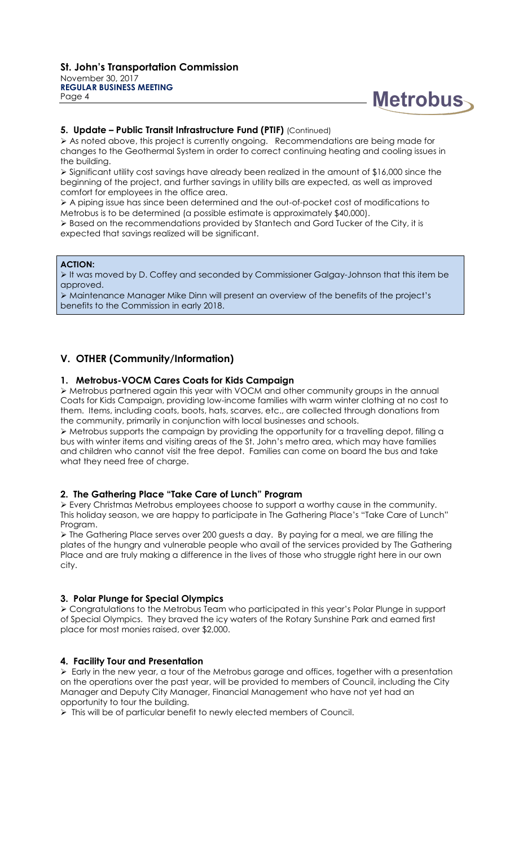

#### **5. Update – Public Transit Infrastructure Fund (PTIF)** (Continued)

 $\triangleright$  As noted above, this project is currently ongoing. Recommendations are being made for changes to the Geothermal System in order to correct continuing heating and cooling issues in the building.

 Significant utility cost savings have already been realized in the amount of \$16,000 since the beginning of the project, and further savings in utility bills are expected, as well as improved comfort for employees in the office area.

 A piping issue has since been determined and the out-of-pocket cost of modifications to Metrobus is to be determined (a possible estimate is approximately \$40,000).

 $\triangleright$  Based on the recommendations provided by Stantech and Gord Tucker of the City, it is expected that savings realized will be significant.

#### **ACTION:**

It was moved by D. Coffey and seconded by Commissioner Galgay-Johnson that this item be approved.

 Maintenance Manager Mike Dinn will present an overview of the benefits of the project's benefits to the Commission in early 2018.

# **V. OTHER (Community/Information)**

# **1. Metrobus-VOCM Cares Coats for Kids Campaign**

 Metrobus partnered again this year with VOCM and other community groups in the annual Coats for Kids Campaign, providing low-income families with warm winter clothing at no cost to them. Items, including coats, boots, hats, scarves, etc., are collected through donations from the community, primarily in conjunction with local businesses and schools.

 Metrobus supports the campaign by providing the opportunity for a travelling depot, filling a bus with winter items and visiting areas of the St. John's metro area, which may have families and children who cannot visit the free depot. Families can come on board the bus and take what they need free of charge.

#### **2. The Gathering Place "Take Care of Lunch" Program**

 Every Christmas Metrobus employees choose to support a worthy cause in the community. This holiday season, we are happy to participate in The Gathering Place's "Take Care of Lunch" Program.

 The Gathering Place serves over 200 guests a day. By paying for a meal, we are filling the plates of the hungry and vulnerable people who avail of the services provided by The Gathering Place and are truly making a difference in the lives of those who struggle right here in our own city.

#### **3. Polar Plunge for Special Olympics**

 Congratulations to the Metrobus Team who participated in this year's Polar Plunge in support of Special Olympics. They braved the icy waters of the Rotary Sunshine Park and earned first place for most monies raised, over \$2,000.

# **4. Facility Tour and Presentation**

 Early in the new year, a tour of the Metrobus garage and offices, together with a presentation on the operations over the past year, will be provided to members of Council, including the City Manager and Deputy City Manager, Financial Management who have not yet had an opportunity to tour the building.

> This will be of particular benefit to newly elected members of Council.